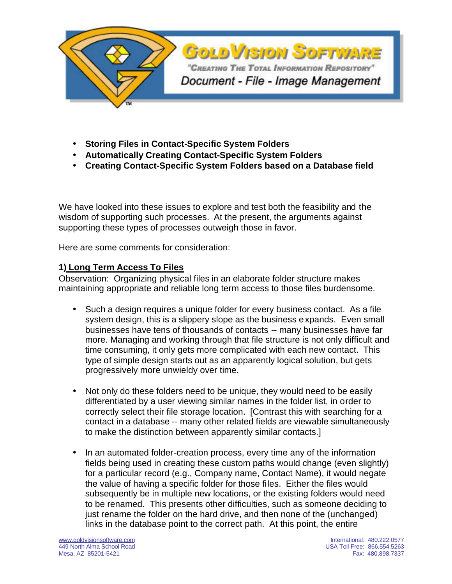

- **Storing Files in Contact-Specific System Folders**
- **Automatically Creating Contact-Specific System Folders**
- **Creating Contact-Specific System Folders based on a Database field**

We have looked into these issues to explore and test both the feasibility and the wisdom of supporting such processes. At the present, the arguments against supporting these types of processes outweigh those in favor.

Here are some comments for consideration:

## **1) Long Term Access To Files**

Observation: Organizing physical files in an elaborate folder structure makes maintaining appropriate and reliable long term access to those files burdensome.

- Such a design requires a unique folder for every business contact. As a file system design, this is a slippery slope as the business expands. Even small businesses have tens of thousands of contacts -- many businesses have far more. Managing and working through that file structure is not only difficult and time consuming, it only gets more complicated with each new contact. This type of simple design starts out as an apparently logical solution, but gets progressively more unwieldy over time.
- Not only do these folders need to be unique, they would need to be easily differentiated by a user viewing similar names in the folder list, in order to correctly select their file storage location. [Contrast this with searching for a contact in a database -- many other related fields are viewable simultaneously to make the distinction between apparently similar contacts.]
- In an automated folder-creation process, every time any of the information fields being used in creating these custom paths would change (even slightly) for a particular record (e.g., Company name, Contact Name), it would negate the value of having a specific folder for those files. Either the files would subsequently be in multiple new locations, or the existing folders would need to be renamed. This presents other difficulties, such as someone deciding to just rename the folder on the hard drive, and then none of the (unchanged) links in the database point to the correct path. At this point, the entire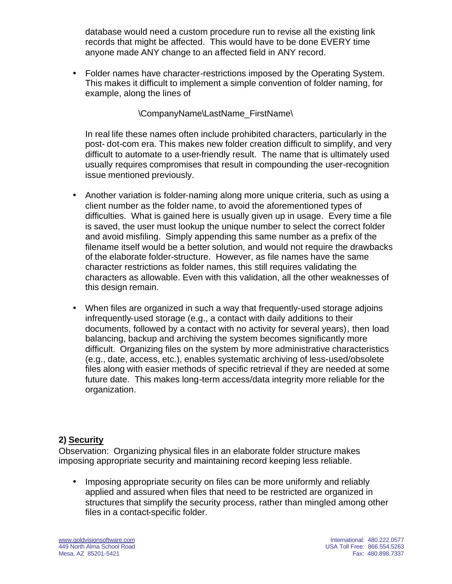database would need a custom procedure run to revise all the existing link records that might be affected. This would have to be done EVERY time anyone made ANY change to an affected field in ANY record.

• Folder names have character-restrictions imposed by the Operating System. This makes it difficult to implement a simple convention of folder naming, for example, along the lines of

#### \CompanyName\LastName\_FirstName\

In real life these names often include prohibited characters, particularly in the post- dot-com era. This makes new folder creation difficult to simplify, and very difficult to automate to a user-friendly result. The name that is ultimately used usually requires compromises that result in compounding the user-recognition issue mentioned previously.

- Another variation is folder-naming along more unique criteria, such as using a client number as the folder name, to avoid the aforementioned types of difficulties. What is gained here is usually given up in usage. Every time a file is saved, the user must lookup the unique number to select the correct folder and avoid misfiling. Simply appending this same number as a prefix of the filename itself would be a better solution, and would not require the drawbacks of the elaborate folder-structure. However, as file names have the same character restrictions as folder names, this still requires validating the characters as allowable. Even with this validation, all the other weaknesses of this design remain.
- When files are organized in such a way that frequently-used storage adjoins infrequently-used storage (e.g., a contact with daily additions to their documents, followed by a contact with no activity for several years), then load balancing, backup and archiving the system becomes significantly more difficult. Organizing files on the system by more administrative characteristics (e.g., date, access, etc.), enables systematic archiving of less-used/obsolete files along with easier methods of specific retrieval if they are needed at some future date. This makes long-term access/data integrity more reliable for the organization.

# **2) Security**

Observation: Organizing physical files in an elaborate folder structure makes imposing appropriate security and maintaining record keeping less reliable.

• Imposing appropriate security on files can be more uniformly and reliably applied and assured when files that need to be restricted are organized in structures that simplify the security process, rather than mingled among other files in a contact-specific folder.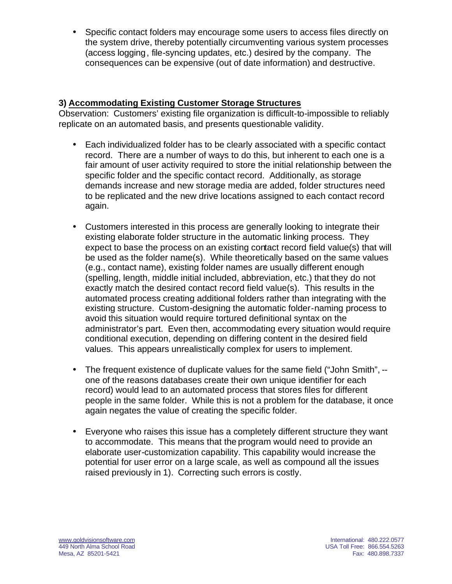• Specific contact folders may encourage some users to access files directly on the system drive, thereby potentially circumventing various system processes (access logging, file-syncing updates, etc.) desired by the company. The consequences can be expensive (out of date information) and destructive.

## **3) Accommodating Existing Customer Storage Structures**

Observation: Customers' existing file organization is difficult-to-impossible to reliably replicate on an automated basis, and presents questionable validity.

- Each individualized folder has to be clearly associated with a specific contact record. There are a number of ways to do this, but inherent to each one is a fair amount of user activity required to store the initial relationship between the specific folder and the specific contact record. Additionally, as storage demands increase and new storage media are added, folder structures need to be replicated and the new drive locations assigned to each contact record again.
- Customers interested in this process are generally looking to integrate their existing elaborate folder structure in the automatic linking process. They expect to base the process on an existing contact record field value(s) that will be used as the folder name(s). While theoretically based on the same values (e.g., contact name), existing folder names are usually different enough (spelling, length, middle initial included, abbreviation, etc.) that they do not exactly match the desired contact record field value(s). This results in the automated process creating additional folders rather than integrating with the existing structure. Custom-designing the automatic folder-naming process to avoid this situation would require tortured definitional syntax on the administrator's part. Even then, accommodating every situation would require conditional execution, depending on differing content in the desired field values. This appears unrealistically complex for users to implement.
- The frequent existence of duplicate values for the same field ("John Smith", one of the reasons databases create their own unique identifier for each record) would lead to an automated process that stores files for different people in the same folder. While this is not a problem for the database, it once again negates the value of creating the specific folder.
- Everyone who raises this issue has a completely different structure they want to accommodate. This means that the program would need to provide an elaborate user-customization capability. This capability would increase the potential for user error on a large scale, as well as compound all the issues raised previously in 1). Correcting such errors is costly.